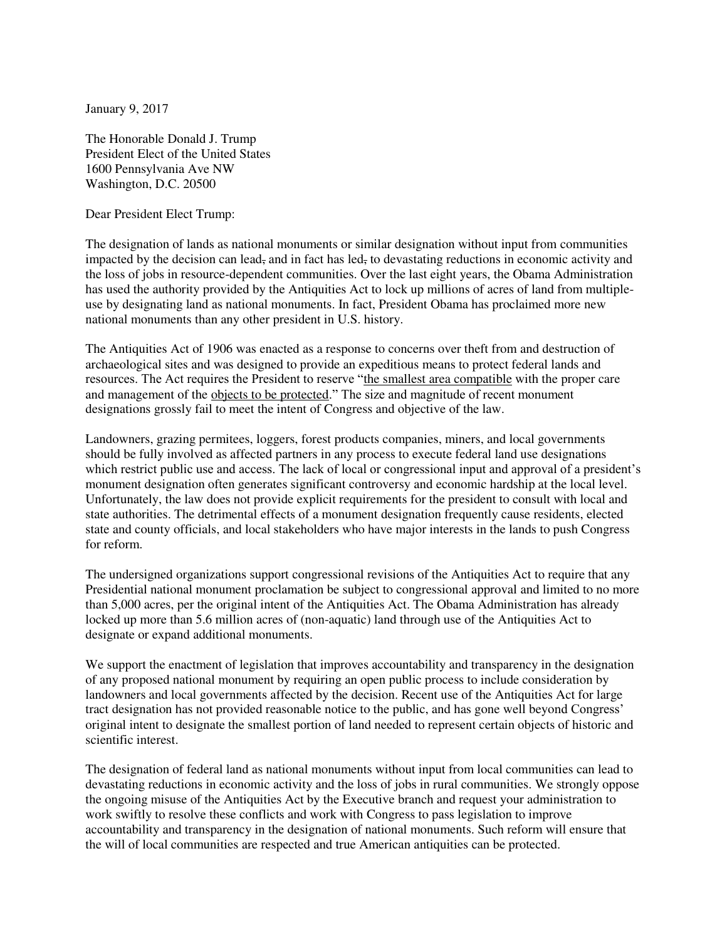January 9, 2017

The Honorable Donald J. Trump President Elect of the United States 1600 Pennsylvania Ave NW Washington, D.C. 20500

Dear President Elect Trump:

The designation of lands as national monuments or similar designation without input from communities impacted by the decision can lead, and in fact has led, to devastating reductions in economic activity and the loss of jobs in resource-dependent communities. Over the last eight years, the Obama Administration has used the authority provided by the Antiquities Act to lock up millions of acres of land from multipleuse by designating land as national monuments. In fact, President Obama has proclaimed more new national monuments than any other president in U.S. history.

The Antiquities Act of 1906 was enacted as a response to concerns over theft from and destruction of archaeological sites and was designed to provide an expeditious means to protect federal lands and resources. The Act requires the President to reserve "the smallest area compatible with the proper care and management of the objects to be protected." The size and magnitude of recent monument designations grossly fail to meet the intent of Congress and objective of the law.

Landowners, grazing permitees, loggers, forest products companies, miners, and local governments should be fully involved as affected partners in any process to execute federal land use designations which restrict public use and access. The lack of local or congressional input and approval of a president's monument designation often generates significant controversy and economic hardship at the local level. Unfortunately, the law does not provide explicit requirements for the president to consult with local and state authorities. The detrimental effects of a monument designation frequently cause residents, elected state and county officials, and local stakeholders who have major interests in the lands to push Congress for reform.

The undersigned organizations support congressional revisions of the Antiquities Act to require that any Presidential national monument proclamation be subject to congressional approval and limited to no more than 5,000 acres, per the original intent of the Antiquities Act. The Obama Administration has already locked up more than 5.6 million acres of (non-aquatic) land through use of the Antiquities Act to designate or expand additional monuments.

We support the enactment of legislation that improves accountability and transparency in the designation of any proposed national monument by requiring an open public process to include consideration by landowners and local governments affected by the decision. Recent use of the Antiquities Act for large tract designation has not provided reasonable notice to the public, and has gone well beyond Congress' original intent to designate the smallest portion of land needed to represent certain objects of historic and scientific interest.

The designation of federal land as national monuments without input from local communities can lead to devastating reductions in economic activity and the loss of jobs in rural communities. We strongly oppose the ongoing misuse of the Antiquities Act by the Executive branch and request your administration to work swiftly to resolve these conflicts and work with Congress to pass legislation to improve accountability and transparency in the designation of national monuments. Such reform will ensure that the will of local communities are respected and true American antiquities can be protected.